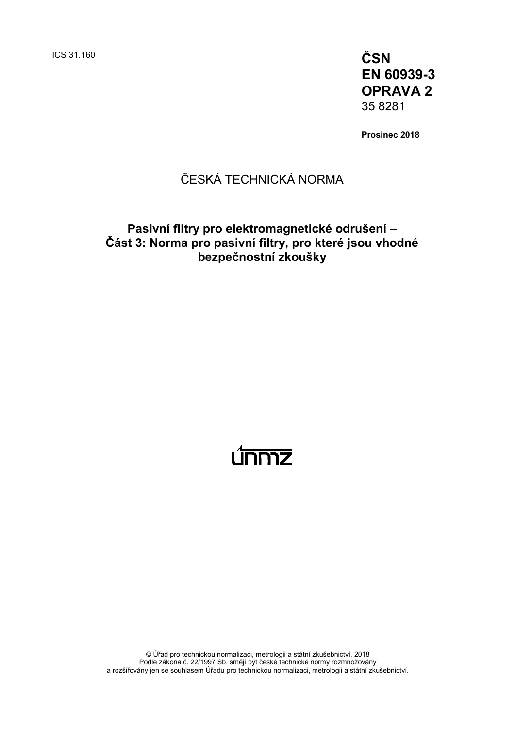ICS 31.160 **ČSN EN 60939-3 OPRAVA 2** 35 8281

**Prosinec 2018**

### ČESKÁ TECHNICKÁ NORMA

#### **Pasivní filtry pro elektromagnetické odrušení – Část 3: Norma pro pasivní filtry, pro které jsou vhodné bezpečnostní zkoušky**

# <u>únmz</u>

© Úřad pro technickou normalizaci, metrologii a státní zkušebnictví, 2018 Podle zákona č. 22/1997 Sb. smějí být české technické normy rozmnožovány a rozšiřovány jen se souhlasem Úřadu pro technickou normalizaci, metrologii a státní zkušebnictví.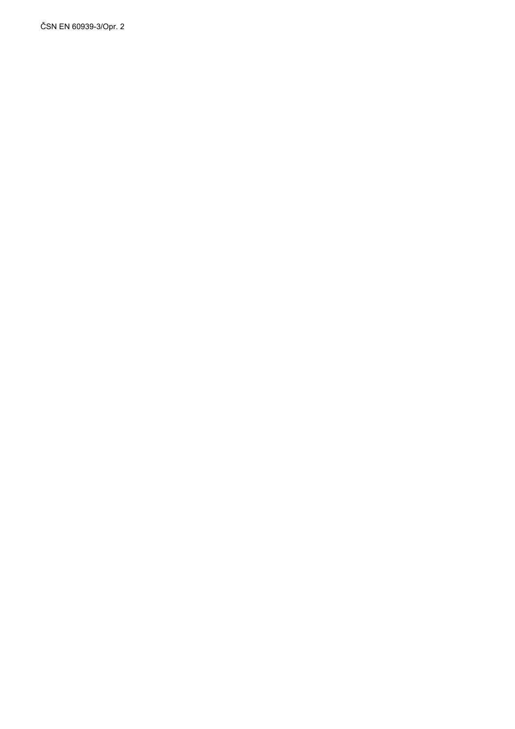ČSN EN 60939-3/Opr. 2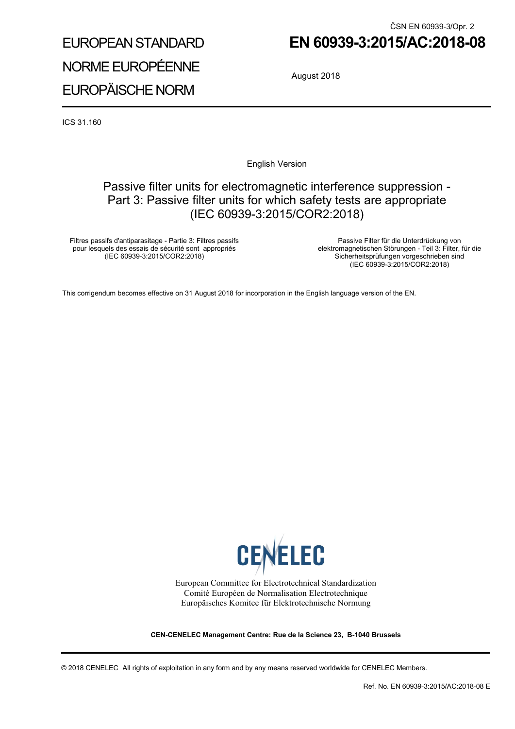# EUROPEAN STANDARD NORME EUROPÉENNE EUROPÄISCHE NORM

August 2018

ICS 31.160

English Version

#### Passive filter units for electromagnetic interference suppression - Part 3: Passive filter units for which safety tests are appropriate (IEC 60939-3:2015/COR2:2018)

Filtres passifs d'antiparasitage - Partie 3: Filtres passifs pour lesquels des essais de sécurité sont appropriés (IEC 60939-3:2015/COR2:2018)

Passive Filter für die Unterdrückung von elektromagnetischen Störungen - Teil 3: Filter, für die Sicherheitsprüfungen vorgeschrieben sind (IEC 60939-3:2015/COR2:2018)

This corrigendum becomes effective on 31 August 2018 for incorporation in the English language version of the EN.



European Committee for Electrotechnical Standardization Comité Européen de Normalisation Electrotechnique Europäisches Komitee für Elektrotechnische Normung

**CEN-CENELEC Management Centre: Rue de la Science 23, B-1040 Brussels** 

© 2018 CENELEC All rights of exploitation in any form and by any means reserved worldwide for CENELEC Members.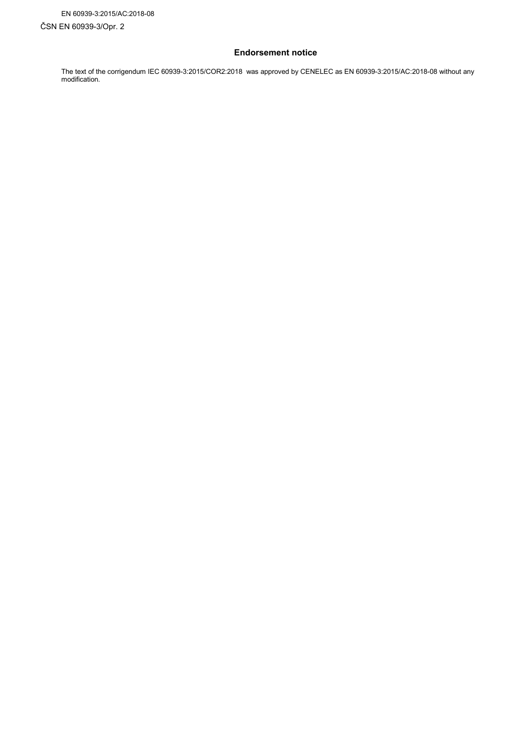EN 60939-3:2015/AC:2018-08

ČSN EN 60939-3/Opr. 2

#### **Endorsement notice**

The text of the corrigendum IEC 60939-3:2015/COR2:2018 was approved by CENELEC as EN 60939-3:2015/AC:2018-08 without any modification.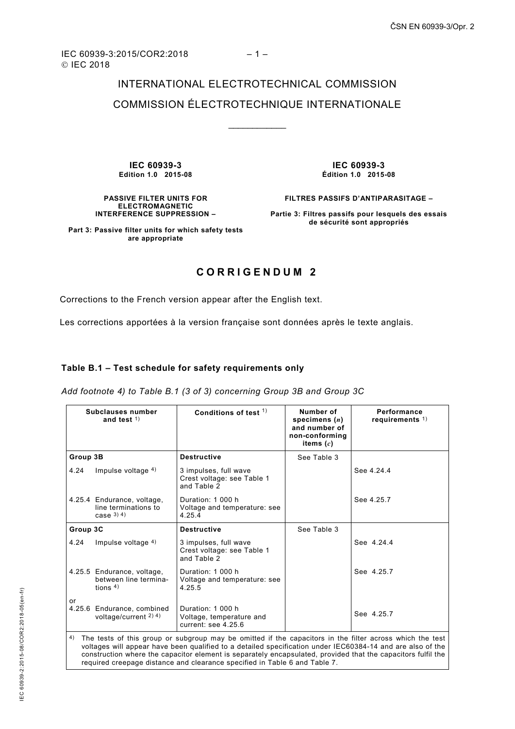IEC 60939-3:2015/COR2:2018 – 1 – © IEC 2018

## INTERNATIONAL ELECTROTECHNICAL COMMISSION COMMISSION ÉLECTROTECHNIQUE INTERNATIONALE

\_\_\_\_\_\_\_\_\_\_\_\_

**IEC 60939-3 Edition 1.0 2015-08**

**IEC 60939-3 Édition 1.0 2015-08**

**PASSIVE FILTER UNITS FOR ELECTROMAGNETIC INTERFERENCE SUPPRESSION –**  **FILTRES PASSIFS D'ANTIPARASITAGE –** 

**Partie 3: Filtres passifs pour lesquels des essais de sécurité sont appropriés**

**Part 3: Passive filter units for which safety tests are appropriate**

#### **CORRIGENDUM 2**

Corrections to the French version appear after the English text.

Les corrections apportées à la version française sont données après le texte anglais.

#### **Table B.1 – Test schedule for safety requirements only**

*Add footnote 4) to Table B.1 (3 of 3) concerning Group 3B and Group 3C*

|                                                                                                                                                                                                                                                                                                                                                                                                                            | Subclauses number<br>and test $1$ )                                | Conditions of test $1$ )                                               | Number of<br>specimens $(n)$<br>and number of<br>non-conforming<br>items $(c)$ | Performance<br>requirements $1$ ) |
|----------------------------------------------------------------------------------------------------------------------------------------------------------------------------------------------------------------------------------------------------------------------------------------------------------------------------------------------------------------------------------------------------------------------------|--------------------------------------------------------------------|------------------------------------------------------------------------|--------------------------------------------------------------------------------|-----------------------------------|
| Group 3B                                                                                                                                                                                                                                                                                                                                                                                                                   |                                                                    | <b>Destructive</b>                                                     | See Table 3                                                                    |                                   |
| 4.24                                                                                                                                                                                                                                                                                                                                                                                                                       | Impulse voltage $4$ )                                              | 3 impulses, full wave<br>Crest voltage: see Table 1<br>and Table 2     |                                                                                | See 4 24 4                        |
|                                                                                                                                                                                                                                                                                                                                                                                                                            | 4.25.4 Endurance, voltage,<br>line terminations to<br>case $3)$ 4) | Duration: 1 000 h<br>Voltage and temperature: see<br>4.25.4            |                                                                                | See 4.25.7                        |
| Group 3C                                                                                                                                                                                                                                                                                                                                                                                                                   |                                                                    | <b>Destructive</b>                                                     | See Table 3                                                                    |                                   |
| 4.24                                                                                                                                                                                                                                                                                                                                                                                                                       | Impulse voltage $4$ )                                              | 3 impulses, full wave<br>Crest voltage: see Table 1<br>and Table 2     |                                                                                | See 4 24 4                        |
|                                                                                                                                                                                                                                                                                                                                                                                                                            | 4.25.5 Endurance, voltage,<br>between line termina-<br>tions $4$ ) | Duration: 1 000 h<br>Voltage and temperature: see<br>4.25.5            |                                                                                | See 4.25.7                        |
| or                                                                                                                                                                                                                                                                                                                                                                                                                         | 4.25.6 Endurance, combined<br>voltage/current $2)$ 4)              | Duration: 1 000 h<br>Voltage, temperature and<br>current: see $4.25.6$ |                                                                                | See 4.25.7                        |
| 4)<br>The tests of this group or subgroup may be omitted if the capacitors in the filter across which the test<br>voltages will appear have been qualified to a detailed specification under IEC60384-14 and are also of the<br>construction where the capacitor element is separately encapsulated, provided that the capacitors fulfil the<br>required creepage distance and clearance specified in Table 6 and Table 7. |                                                                    |                                                                        |                                                                                |                                   |

EC 60939-2:2015-08/COR2:2018-05(en-fr) IEC 60939-2:2015-08/COR2:2018-05(en-fr)